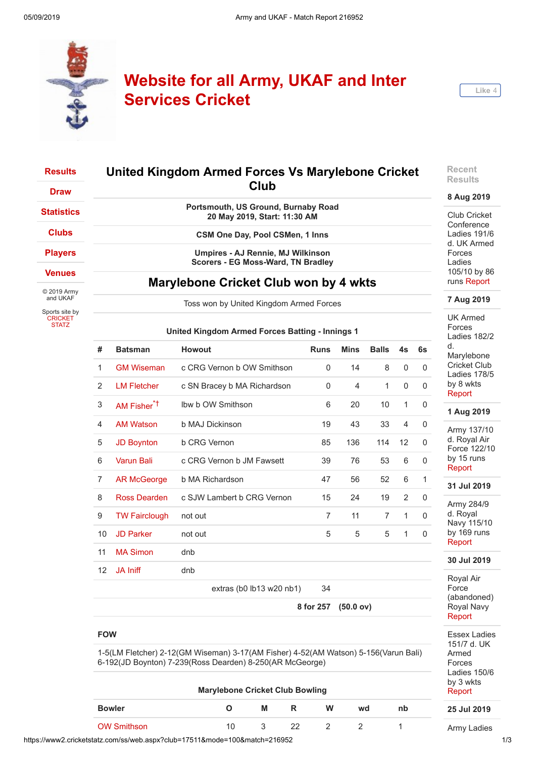

# **Website for all Army, UKAF and Inter Services Cricket**



#### **[Results](https://www2.cricketstatz.com/ss/web.aspx?club=17511&team=) [Draw](https://www2.cricketstatz.com/ss/web.aspx?mode=2&club=17511&team=) [Statistics](https://www2.cricketstatz.com/ss/web.aspx?mode=104&club=17511&team=) [Clubs](https://www2.cricketstatz.com/ss/web.aspx?mode=16&club=17511&team=) [Players](https://www2.cricketstatz.com/ss/web.aspx?mode=20&club=17511&team=) [Venues](https://www2.cricketstatz.com/ss/web.aspx?mode=15&club=17511&team=)** © 2019 Army and UKAF Sports site by **[CRICKET](https://www.cricketstatz.com/)** STATZ **United Kingdom Armed Forces Vs Marylebone Cricket Club Portsmouth, US Ground, Burnaby Road 20 May 2019, Start: 11:30 AM CSM One Day, Pool CSMen, 1 Inns Umpires - AJ Rennie, MJ Wilkinson Scorers - EG Moss-Ward, TN Bradley Marylebone Cricket Club won by 4 wkts** Toss won by United Kingdom Armed Forces **United Kingdom Armed Forces Batting - Innings 1 # Batsman Howout Runs Mins Balls 4s 6s** 1 [GM Wiseman](https://www2.cricketstatz.com/ss/showplayer.aspx?color=Red&club=17511&playerid=146417) c CRG Vernon b OW Smithson 0 14 8 0 0 2 [LM Fletcher](https://www2.cricketstatz.com/ss/showplayer.aspx?color=Red&club=17511&playerid=146826) c SN Bracey b MA Richardson 0 4 1 0 0 3 [AM Fisher](https://www2.cricketstatz.com/ss/showplayer.aspx?color=Red&club=17511&playerid=285717)\*† lbw b OW Smithson 6 20 10 1 0 4 [AM Watson](https://www2.cricketstatz.com/ss/showplayer.aspx?color=Red&club=17511&playerid=285427) b MAJ Dickinson 19 43 33 4 0 **Recent 8 Aug 2019** runs [Report](https://www2.cricketstatz.com/ss/runreport2.aspx?club=17511&mode=100&match=227973) **7 Aug 2019** UK Armed Forces Ladies 182/2 d. Marylebone Cricket Club Ladies 178/5 by 8 wkts [Report](https://www2.cricketstatz.com/ss/runreport2.aspx?club=17511&mode=100&match=227972) **1 Aug 2019**

|  |  | .              |  |  |
|--|--|----------------|--|--|
|  |  | <b>Results</b> |  |  |
|  |  |                |  |  |

Club Cricket **Conference** Ladies 191/6 d. UK Armed Forces Ladies 105/10 by 86

| #  | <b>Batsman</b>          | <b>Howout</b>                 | <b>Runs</b>    | <b>Mins</b>    | <b>Balls</b>   | 4s             | 6s           |
|----|-------------------------|-------------------------------|----------------|----------------|----------------|----------------|--------------|
| 1  | <b>GM Wiseman</b>       | c CRG Vernon b OW Smithson    | 0              | 14             | 8              | $\mathbf{0}$   | 0            |
| 2  | <b>LM Fletcher</b>      | c SN Bracey b MA Richardson   | $\mathbf{0}$   | $\overline{4}$ | $\mathbf{1}$   | $\Omega$       | $\mathbf 0$  |
| 3  | AM Fisher <sup>*†</sup> | Ibw b OW Smithson             | 6              | 20             | 10             | 1              | $\mathbf 0$  |
| 4  | <b>AM Watson</b>        | b MAJ Dickinson               | 19             | 43             | 33             | $\overline{4}$ | $\mathbf 0$  |
| 5  | <b>JD Boynton</b>       | <b>b CRG Vernon</b>           | 85             | 136            | 114            | 12             | $\Omega$     |
| 6  | <b>Varun Bali</b>       | c CRG Vernon b JM Fawsett     | 39             | 76             | 53             | 6              | $\mathbf 0$  |
| 7  | <b>AR McGeorge</b>      | b MA Richardson               | 47             | 56             | 52             | 6              | $\mathbf{1}$ |
| 8  | Ross Dearden            | c SJW Lambert b CRG Vernon    | 15             | 24             | 19             | 2              | $\Omega$     |
| 9  | <b>TW Fairclough</b>    | not out                       | $\overline{7}$ | 11             | $\overline{7}$ | $\mathbf{1}$   | 0            |
| 10 | <b>JD Parker</b>        | not out                       | 5              | 5              | 5              | 1              | $\Omega$     |
| 11 | <b>MA Simon</b>         | dnb                           |                |                |                |                |              |
| 12 | <b>JA Iniff</b>         | dnb                           |                |                |                |                |              |
|    |                         | extras (b0 $lb13$ w20 $nb1$ ) | 34             |                |                |                |              |
|    |                         |                               |                |                |                |                |              |

1-5(LM Fletcher) 2-12(GM Wiseman) 3-17(AM Fisher) 4-52(AM Watson) 5-156(Varun Bali)

**Marylebone Cricket Club Bowling**

**Bowler O M R W wd nb** [OW Smithson](https://www2.cricketstatz.com/ss/showplayer.aspx?color=Red&grade=8936&club=17511&playerid=325280) 10 3 22 2 2 1

6-192(JD Boynton) 7-239(Ross Dearden) 8-250(AR McGeorge)

**8 for 257 (50.0 ov)**

Army 137/10 d. Royal Air Force 122/10 by 15 runs [Report](https://www2.cricketstatz.com/ss/runreport2.aspx?club=17511&mode=100&match=227742) **31 Jul 2019** Army 284/9

# d. Royal Navy 115/10 by 169 runs [Report](https://www2.cricketstatz.com/ss/runreport2.aspx?club=17511&mode=100&match=227727)

## **30 Jul 2019**

Royal Air Force (abandoned) Royal Navy [Report](https://www2.cricketstatz.com/ss/runreport2.aspx?club=17511&mode=100&match=227726)

Essex Ladies 151/7 d. UK Armed Forces Ladies 150/6 by 3 wkts [Report](https://www2.cricketstatz.com/ss/runreport2.aspx?club=17511&mode=100&match=227785)

### **25 Jul 2019**

Army Ladies

https://www2.cricketstatz.com/ss/web.aspx?club=17511&mode=100&match=216952 1/3

**FOW**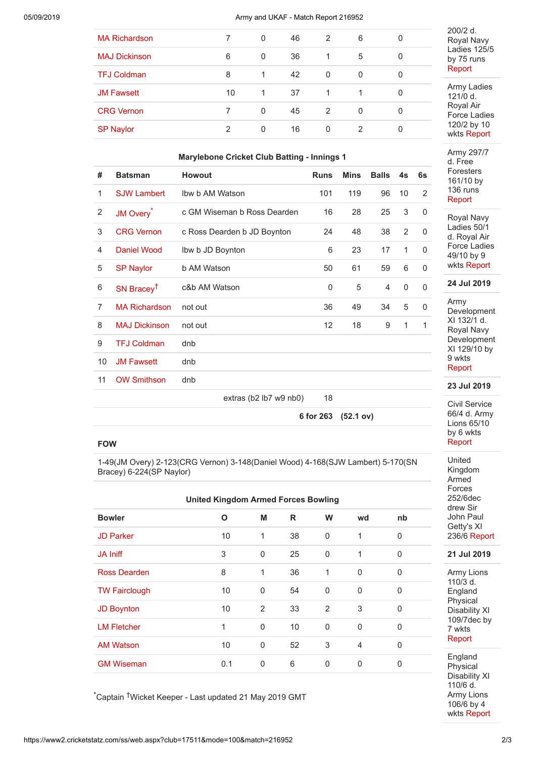### 05/09/2019 Army and UKAF - Match Report 216952

| <b>MA Richardson</b> | 7  | $\Omega$ | 46  | $\overline{2}$ | 6        | 0 |
|----------------------|----|----------|-----|----------------|----------|---|
| <b>MAJ Dickinson</b> | 6  | $\Omega$ | 36  | $\overline{1}$ | 5        | 0 |
| <b>TFJ Coldman</b>   | 8  | 1        | 42  | $\overline{0}$ | $\Omega$ | 0 |
| <b>JM Fawsett</b>    | 10 | -1       | -37 | 1              |          | 0 |
| <b>CRG Vernon</b>    |    | $\Omega$ | 45  | $\overline{2}$ | $\Omega$ | 0 |
| <b>SP Naylor</b>     | 2  | $\Omega$ | 16  | 0              | 2        | 0 |

# **Marylebone Cricket Club Batting - Innings 1**

| #              | <b>Batsman</b>         | <b>Howout</b>               | <b>Runs</b>     | <b>Mins</b> | <b>Balls</b> | 4s           | 6s          |
|----------------|------------------------|-----------------------------|-----------------|-------------|--------------|--------------|-------------|
| 1              | <b>SJW Lambert</b>     | Ibw b AM Watson             | 101             | 119         | 96           | 10           | 2           |
| 2              | JM Overy <sup>*</sup>  | c GM Wiseman b Ross Dearden | 16              | 28          | 25           | 3            | $\mathbf 0$ |
| 3              | <b>CRG Vernon</b>      | c Ross Dearden b JD Boynton | 24              | 48          | 38           | 2            | $\mathbf 0$ |
| 4              | Daniel Wood            | Ibw b JD Boynton            | 6               | 23          | 17           | $\mathbf{1}$ | $\mathbf 0$ |
| 5              | <b>SP Naylor</b>       | b AM Watson                 | 50              | 61          | 59           | 6            | $\Omega$    |
| 6              | SN Bracey <sup>†</sup> | c&b AM Watson               | 0               | 5           | 4            | $\mathbf 0$  | $\mathbf 0$ |
| $\overline{7}$ | <b>MA Richardson</b>   | not out                     | 36              | 49          | 34           | 5            | 0           |
| 8              | <b>MAJ Dickinson</b>   | not out                     | 12 <sup>2</sup> | 18          | 9            | $\mathbf{1}$ | 1           |
| 9              | <b>TFJ Coldman</b>     | dnb                         |                 |             |              |              |             |
| 10             | <b>JM Fawsett</b>      | dnb                         |                 |             |              |              |             |
| 11             | <b>OW Smithson</b>     | dnb                         |                 |             |              |              |             |
|                |                        | extras (b2 lb7 w9 nb0)      | 18              |             |              |              |             |
|                |                        |                             | 6 for 263       | (52.1 ov)   |              |              |             |

# **FOW**

1-49(JM Overy) 2-123(CRG Vernon) 3-148(Daniel Wood) 4-168(SJW Lambert) 5-170(SN Bracey) 6-224(SP Naylor)

| <b>United Kingdom Armed Forces Bowling</b> |     |              |    |             |                |             |  |  |  |
|--------------------------------------------|-----|--------------|----|-------------|----------------|-------------|--|--|--|
| <b>Bowler</b>                              | O   | M            | R  | W           | wd             | nb          |  |  |  |
| <b>JD Parker</b>                           | 10  | $\mathbf{1}$ | 38 | $\mathbf 0$ | 1              | 0           |  |  |  |
| <b>JA Iniff</b>                            | 3   | $\mathbf 0$  | 25 | $\mathbf 0$ | 1              | $\mathbf 0$ |  |  |  |
| Ross Dearden                               | 8   | 1            | 36 | 1           | $\mathbf 0$    | 0           |  |  |  |
| <b>TW Fairclough</b>                       | 10  | $\Omega$     | 54 | $\Omega$    | $\Omega$       | 0           |  |  |  |
| <b>JD Boynton</b>                          | 10  | 2            | 33 | 2           | 3              | 0           |  |  |  |
| <b>LM Fletcher</b>                         | 1   | $\mathbf{0}$ | 10 | $\mathbf 0$ | $\Omega$       | $\mathbf 0$ |  |  |  |
| <b>AM Watson</b>                           | 10  | 0            | 52 | 3           | $\overline{4}$ | 0           |  |  |  |
| <b>GM Wiseman</b>                          | 0.1 | 0            | 6  | 0           | 0              | 0           |  |  |  |

\*Captain †Wicket Keeper - Last updated 21 May 2019 GMT

wkts [Report](https://www2.cricketstatz.com/ss/runreport2.aspx?club=17511&mode=100&match=227528) Army 297/7 d. Free Foresters 161/10 by 136 runs [Report](https://www2.cricketstatz.com/ss/runreport2.aspx?club=17511&mode=100&match=227520) Royal Navy Ladies 50/1 d. Royal Air Force Ladies 49/10 by 9 wkts [Report](https://www2.cricketstatz.com/ss/runreport2.aspx?club=17511&mode=100&match=227527) **24 Jul 2019** Army Development XI 132/1 d. Royal Navy Development XI 129/10 by 9 wkts [Report](https://www2.cricketstatz.com/ss/runreport2.aspx?club=17511&mode=100&match=227519) **23 Jul 2019**

200/2 d. Royal Navy Ladies 125/5 by 75 runs [Report](https://www2.cricketstatz.com/ss/runreport2.aspx?club=17511&mode=100&match=227529)

Army Ladies 121/0 d. Royal Air Force Ladies 120/2 by 10

Civil Service 66/4 d. Army Lions 65/10 by 6 wkts [Report](https://www2.cricketstatz.com/ss/runreport2.aspx?club=17511&mode=100&match=227467)

United Kingdom Armed Forces 252/6dec drew Sir John Paul Getty's XI 236/6 [Report](https://www2.cricketstatz.com/ss/runreport2.aspx?club=17511&mode=100&match=227476)

**21 Jul 2019**

Army Lions 110/3 d. England Physical Disability XI 109/7dec by 7 wkts [Report](https://www2.cricketstatz.com/ss/runreport2.aspx?club=17511&mode=100&match=226407)

England **Physical** Disability XI 110/6 d. Army Lions 106/6 by 4 wkts [Report](https://www2.cricketstatz.com/ss/runreport2.aspx?club=17511&mode=100&match=226404)